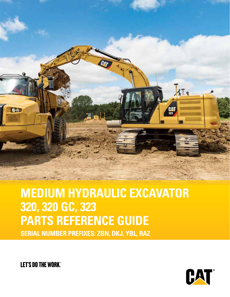

### **MEDIUM HYDRAULIC EXCAVATOR 320, 320 GC, 323 PARTS REFERENCE GUIDE SERIAL NUMBER PREFIXES: ZBN, DKJ, YBL, RAZ**

**LET'S DO THE WORK"** 

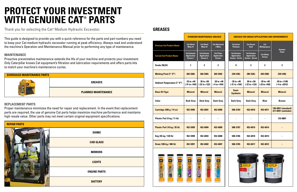| <b>SCHEDULED MAINTENANCE PARTS</b> |                            |
|------------------------------------|----------------------------|
|                                    | <b>GREASES</b>             |
|                                    | <b>PLANNED MAINTENANCE</b> |

This guide is designed to provide you with a quick reference for the parts and part numbers you need to keep your Cat medium hydraulic excavator running at peak efficiency. Always read and understand the machine's Operation and Maintenance Manual prior to performing any type of maintenance.

#### **MAINTENANCE**

Proactive preventative maintenance extends the life of your machine and protects your investment. Only Caterpillar knows Cat equipment's filtration and lubrication requirements and offers parts kits to match your machine's maintenance cycles.

#### **REPLACEMENT PARTS**

Proper maintenance minimizes the need for repair and replacement. In the event that replacement parts are required, the use of genuine Cat parts helps maximize machine performance and maintains high resale value. Other parts may not meet certain original equipment specifications.

Thank you for selecting the Cat**®** Medium Hydraulic Excavator.

## **PROTECT YOUR INVESTMENT WITH GENUINE CAT® PARTS**

#### **GREASES**



#### **STANDARD MAINTENANCE GREASES GREASES FOR UNIQUE APPLICATIONS AND ENVIRONMENTS**

| <b>Previous Cat Product Name</b> | <b>Cat Ultra5</b><br>Moly #1                         | <b>Cat Ultra5</b><br>Moly #2                         | <b>Cat Advanced</b><br>3 Moly                           | <b>Cat Arctic</b><br><b>Platinum</b>                               | <b>Cat Desert</b><br>Gold                                          | Cat<br><b>Multipurpose</b>          | <b>Hammer</b>                              |
|----------------------------------|------------------------------------------------------|------------------------------------------------------|---------------------------------------------------------|--------------------------------------------------------------------|--------------------------------------------------------------------|-------------------------------------|--------------------------------------------|
| <b>Current Cat Product Name</b>  | <b>Cat Extreme</b><br><b>Application</b><br>Grease 1 | <b>Cat Extreme</b><br><b>Application</b><br>Grease 2 | <b>Cat Prime</b><br><b>Application</b><br><b>Grease</b> | <b>Cat Extreme</b><br><b>Application</b><br><b>Grease - Arctic</b> | <b>Cat Extreme</b><br><b>Application</b><br><b>Grease - Desert</b> | <b>Cat Utility</b><br><b>Grease</b> | <b>Paste</b>                               |
| <b>Grade (NLGI)</b>              | 1                                                    | 2                                                    | 2                                                       | 0                                                                  | $\mathbf{2}$                                                       | $\mathbf 2$                         | $\mathbf 2$                                |
| <b>Melting Point C° (F°)</b>     | 260 (500)                                            | 260 (500)                                            | 260 (500)                                               | 230 (446)                                                          | 280 (536)                                                          | 260 (500)                           | 230 (446)                                  |
| Ambient Temperature C° (F°)      | $-35$ to $+40$<br>$(-31 to +104)$                    | $30$ to $+50$<br>(-22 to +122)                       | $-20$ to $+40$<br>$(-4 to +104)$                        | $-35$ to $+40$<br>$(-31 to +104)$                                  | $30$ to $+50$<br>$(-22 to +122)$                                   | $-30$ to $+40$<br>$(-22 to +104)$   | $-20$ to $+1100$<br>$(-4 to +2012)$        |
| <b>Base Oil Type</b>             | <b>Mineral</b>                                       | <b>Mineral</b>                                       | <b>Mineral</b>                                          | Semi-<br><b>Synthetic</b>                                          | <b>Mineral</b>                                                     | <b>Mineral</b>                      | <b>Mineral</b>                             |
| Color                            | <b>Dark Grey</b>                                     | <b>Dark Grey</b>                                     | <b>Dark Grey</b>                                        | <b>Dark Grey</b>                                                   | <b>Dark Grey</b>                                                   | <b>Blue</b>                         | <b>Bronze</b>                              |
| Cartridge (390 g / 14 oz)        | 452-5996                                             | 452-6001                                             | 452-6006                                                | 508-2184                                                           | 452-6016                                                           | 452-6011                            | 130-6951 (standard)<br>317-8491 (autolube) |
| Plastic Pail (5 kg / 11 lb)      |                                                      |                                                      |                                                         |                                                                    |                                                                    |                                     | 133-8807                                   |
| Plastic Pail (16 kg / 35 lb)     | 452-5999                                             | 452-6004                                             | 452-6009                                                | 508-2187                                                           | 452-6019                                                           | 452-6014                            |                                            |
| Keg (55 kg / 120 lb)             | 452-5998                                             | 452-6003                                             | 452-6008                                                | 508-2186                                                           | 452-6018                                                           | 452-6013                            |                                            |
| Drum (180 kg / 400 lb)           | 452-5997                                             | 452-6002                                             | 452-6007                                                | 508-2185                                                           | 452-6017                                                           | 452-6012                            |                                            |



|                                    |                                                      | <b>STANDARD MAINTENANCE GREASES</b>                  |                                                         |                                                                    | <b>GREASES FOR UNIQUE APPLICATIONS AND ENVIRONMENT</b>             |                                     |                                   |
|------------------------------------|------------------------------------------------------|------------------------------------------------------|---------------------------------------------------------|--------------------------------------------------------------------|--------------------------------------------------------------------|-------------------------------------|-----------------------------------|
| <b>Previous Cat Product Name</b>   | <b>Cat Ultra5</b><br>Moly #1                         | <b>Cat Ultra5</b><br>Moly #2                         | <b>Cat Advanced</b><br>3 Moly                           | <b>Cat Arctic</b><br><b>Platinum</b>                               | <b>Cat Desert</b><br>Gold                                          | Cat<br><b>Multipurpose</b>          | <b>Hammer</b>                     |
| <b>Current Cat Product Name</b>    | <b>Cat Extreme</b><br><b>Application</b><br>Grease 1 | <b>Cat Extreme</b><br><b>Application</b><br>Grease 2 | <b>Cat Prime</b><br><b>Application</b><br><b>Grease</b> | <b>Cat Extreme</b><br><b>Application</b><br><b>Grease - Arctic</b> | <b>Cat Extreme</b><br><b>Application</b><br><b>Grease - Desert</b> | <b>Cat Utility</b><br><b>Grease</b> | Paste                             |
| <b>Grade (NLGI)</b>                | 1                                                    | $\mathbf{2}$                                         | $\mathbf 2$                                             | 0                                                                  | $\mathbf{2}$                                                       | 2                                   | 2                                 |
| <b>Melting Point C° (F°)</b>       | 260 (500)                                            | 260 (500)                                            | 260 (500)                                               | 230 (446)                                                          | 280 (536)                                                          | 260 (500)                           | 230 (446)                         |
| <b>Ambient Temperature C° (F°)</b> | $-35$ to $+40$<br>$(-31 to +104)$                    | $30$ to $+50$<br>$(-22 to +122)$                     | $-20$ to $+40$<br>$(-4 to +104)$                        | $-35$ to $+40$<br>$(-31 to +104)$                                  | $30$ to $+50$<br>$(-22 to +122)$                                   | $-30$ to $+40$<br>$(-22 to +104)$   | $-20$ to $+110$<br>$(-4 to +201)$ |
| <b>Base Oil Type</b>               | <b>Mineral</b>                                       | <b>Mineral</b>                                       | <b>Mineral</b>                                          | Semi-<br><b>Synthetic</b>                                          | <b>Mineral</b>                                                     | <b>Mineral</b>                      | <b>Mineral</b>                    |
| Color                              | <b>Dark Grey</b>                                     | <b>Dark Grey</b>                                     | <b>Dark Grey</b>                                        | <b>Dark Grey</b>                                                   | <b>Dark Grey</b>                                                   | <b>Blue</b>                         | <b>Bronze</b>                     |
| Cartridge (390 g / 14 oz)          | 452-5996                                             | 452-6001                                             | 452-6006                                                | 508-2184                                                           | 452-6016                                                           | 452-6011                            | 130-6951 (stan<br>317-8491 (auto  |
| Plastic Pail (5 kg / 11 lb)        |                                                      |                                                      |                                                         |                                                                    |                                                                    |                                     | 133-8807                          |
| Plastic Pail (16 kg / 35 lb)       | 452-5999                                             | 452-6004                                             | 452-6009                                                | 508-2187                                                           | 452-6019                                                           | 452-6014                            |                                   |
| Keg (55 kg / 120 lb)               | 452-5998                                             | 452-6003                                             | 452-6008                                                | 508-2186                                                           | 452-6018                                                           | 452-6013                            |                                   |
| Drum (180 kg / 400 lb)             | 452-5997                                             | 452-6002                                             | 452-6007                                                | 508-2185                                                           | 452-6017                                                           | 452-6012                            |                                   |

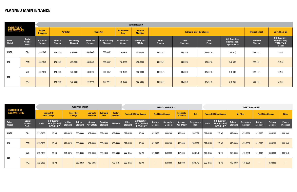|                                       |                                          |                                                        | <b>WHEN NEEDED</b>        |                                    |                                    |                                 |                                    |                             |                                 |                                    |                |                                                 |                                   |                                                               |  |  |
|---------------------------------------|------------------------------------------|--------------------------------------------------------|---------------------------|------------------------------------|------------------------------------|---------------------------------|------------------------------------|-----------------------------|---------------------------------|------------------------------------|----------------|-------------------------------------------------|-----------------------------------|---------------------------------------------------------------|--|--|
| <b>HYDRAULIC</b><br><b>EXCAVATORS</b> |                                          | <b>Engine</b><br><b>Air Filter</b><br><b>Crankcase</b> |                           |                                    | <b>Cabin Air</b>                   |                                 | <b>AC Receiver</b><br><b>Dryer</b> | Lubricate<br><b>Machine</b> |                                 | <b>Hydraulic Oil/Filter Change</b> |                |                                                 |                                   | <b>Drive Chain Oil</b>                                        |  |  |
| <b>Sales</b><br><b>Model</b>          | <b>Serial</b><br><b>Number</b><br>Prefix | <b>Breather</b><br><b>Element</b>                      | Primary<br><b>Element</b> | <b>Secondary</b><br><b>Element</b> | <b>Fresh Air</b><br><b>Element</b> | Recirculating<br><b>Element</b> | <b>Accumulator</b><br>Group        | <b>Grease Adv</b><br>3Moly  | <b>Filter</b><br><b>Element</b> | <b>Seal</b><br>(Housing)           | Seal<br>(Plug) | Oil Quantity -<br>Liter (Gallon)<br>Hydo Adv 10 | <b>Breather</b><br><b>Element</b> | Oil Quantity -<br>Liter (Gallon)<br><b>TDTO-TMS</b><br>(each) |  |  |
| 320GC                                 | DKJ                                      | 339-1048                                               | 479-8989                  | 479-8991                           | 488-6446                           | 500-0957                        | 176-1902                           | 452-6006                    | 491-5241                        | 145-3576                           | 175-6176       | 240(63)                                         | 522-1451                          | 6(1.6)                                                        |  |  |
| 320                                   | <b>ZBN</b>                               | 339-1048                                               | 479-8989                  | 479-8991                           | 488-6446                           | 500-0957                        | 176-1902                           | 452-6006                    | 491-5241                        | 145-3576                           | 175-6176       | 240(63)                                         | 522-1451                          | 6(1.6)                                                        |  |  |
| 323                                   | YBL                                      | 339-1048                                               | 479-8989                  | 479-8991                           | 488-6446                           | 500-0957                        | 176-1902                           | 452-6006                    | 491-5241                        | 145-3576                           | 175-6176       | 240(63)                                         | 522-1451                          | 6(1.6)                                                        |  |  |
|                                       | RAZ                                      | $\hspace{0.1mm}$                                       | 479-8989                  | 479-8991                           | 488-6446                           | 500-0957                        | 176-1902                           | 452-6006                    | 491-5241                        | 145-3576                           | 175-6176       | 240(63)                                         | 522-1451                          | 6(1.6)                                                        |  |  |

|                                       |                                                 | <b>EVERY 500 HOURS</b>                     |                                                     |                                     |                           | EVERY 1,000 HOURS                  |                                   |                                  |                                 |                                                            | <b>EVERY 2,000 HOURS</b>  |                             |                             |                                  |                                 |                                                            |                           |                             |                           |                                  |                                 |
|---------------------------------------|-------------------------------------------------|--------------------------------------------|-----------------------------------------------------|-------------------------------------|---------------------------|------------------------------------|-----------------------------------|----------------------------------|---------------------------------|------------------------------------------------------------|---------------------------|-----------------------------|-----------------------------|----------------------------------|---------------------------------|------------------------------------------------------------|---------------------------|-----------------------------|---------------------------|----------------------------------|---------------------------------|
| <b>HYDRAULIC</b><br><b>EXCAVATORS</b> |                                                 | <b>Engine Oil/</b><br><b>Filter Change</b> |                                                     | <b>Fuel Filter</b><br><b>Change</b> |                           | <b>Lubricate</b><br><b>Machine</b> | <b>Hydraulic</b><br><b>Tank</b>   | <b>Water</b><br><b>Separator</b> | <b>Engine Oil/Filter Change</b> |                                                            | <b>Fuel Filter Change</b> |                             | Lubricate<br><b>Machine</b> | <b>Belt</b>                      | <b>Engine Oil/Filter Change</b> |                                                            | <b>Air Filter</b>         |                             | <b>Fuel Filter Change</b> |                                  | <b>Filter</b>                   |
| <b>Sales</b><br><b>Model</b>          | <b>Serial</b><br><b>Number</b><br><b>Prefix</b> | <b>Filter</b>                              | Oil Quantity -<br>Liter (Gallon)<br><b>DEO-ULS™</b> | In-line<br><b>Element</b>           | Primary<br><b>Element</b> | Grease<br><b>Adv 3Moly</b>         | <b>Breather</b><br><b>Element</b> | <b>Element</b>                   | <b>Filter</b><br><b>Element</b> | Oil Quantity -<br><b>Liter (Gallon)</b><br><b>DEO-ULS™</b> | In-line<br><b>Element</b> | Secondary<br><b>Element</b> | Grease<br>Adv 3Moly         | <b>Serpentine</b><br><b>Belt</b> | <b>Filter</b>                   | <b>Oil Quantity -</b><br>Liter (Gallon)<br><b>DEO-ULS™</b> | Primary<br><b>Element</b> | Secondary<br><b>Element</b> | In-line<br><b>Element</b> | <b>Primary</b><br><b>Element</b> | <b>Fumes</b><br><b>Disposal</b> |
| 320GC                                 | <b>DKJ</b>                                      | 322-3155                                   | 15(4)                                               | 421-9625                            | 360-8960                  | 452-6006                           | 339-1048                          | 438-5386                         | 322-3155                        | 15(4)                                                      | 421-9625                  | 360-8960                    | 452-6006                    | 289-2358                         | 322-3155                        | 15(4)                                                      | 479-8989                  | 479-8991                    | 421-9625                  | 360-8960                         | 339-1048                        |
| 320                                   | <b>ZBN</b>                                      | 322-3155                                   | 15(4)                                               | 421-9625                            | 360-8960                  | 452-6006                           | 339-1048                          | 438-5386                         | 322-3155                        | 15(4)                                                      | 421-9625                  | 360-8960                    | 452-6006                    | 289-2358                         | 322-3155                        | 15(4)                                                      | 479-8989                  | 479-8991                    | 421-9625                  | 360-8960                         | 339-1048                        |
| 323                                   | YBL                                             | 322-3155                                   | 15(4)                                               | 421-9625                            | 360-8960                  | 452-6006                           | 339-1048                          | 438-5386                         | 322-3155                        | 15(4)                                                      | 421-9625                  | 360-8960                    | 452-6006                    | 350-8742                         | 322-3155                        | 15(4)                                                      | 479-8989                  | 479-8991                    | 421-9625                  | 360-8960                         | 339-1048                        |
|                                       | <b>RAZ</b>                                      | 322-3155                                   | 15(4)                                               | $\sim$                              | 360-8960                  | 452-6006                           | $-$                               | 479-4131                         | 322-3155                        | 15(4)                                                      | $\overline{\phantom{0}}$  | 360-8960                    | 452-6006                    | 350-8742                         | 322-3155                        | 15(4)                                                      | 479-8989                  | 479-8991                    | $\overline{\phantom{0}}$  | 360-8960                         |                                 |

#### **PLANNED MAINTENANCE**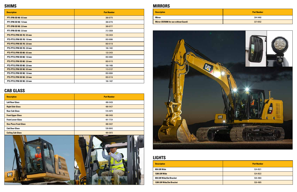#### **CAB GLASS**

#### **MIRRORS**

| Description |
|-------------|
|-------------|



### **LIGHTS**

| <b>Description</b>           | <b>Part Number</b> |
|------------------------------|--------------------|
| <b>Left Rear Glass</b>       | 486-5426           |
| <b>Right Side Glass</b>      | 486-5427           |
| <b>Rear Cab Glass</b>        | 516-4875           |
| <b>Front Upper Glass</b>     | 486-5450           |
| <b>Front Lower Glass</b>     | 491-7724           |
| <b>One-Piece Front Glass</b> | 486-5437           |
| <b>Cab Door Glass</b>        | 538-8843           |
| <b>Ceiling Cab Glass</b>     | 489-3972           |





| <b>Description</b>                            | <b>Part Number</b> |
|-----------------------------------------------|--------------------|
| Mirror                                        | 394-9460           |
| <b>Mirror (ISO5006 for use without Guard)</b> | 327-6552           |

| <b>Part Number</b> |
|--------------------|
| 524-8521           |
| 524-8522           |
| 526-4904           |
| 526-4905           |

| <b>Description</b>              | <b>Part Number</b> |
|---------------------------------|--------------------|
| 850 LM Wide                     | 524-8521           |
| 1200 LM Wide                    | 524-8522           |
| 850 LM Wide/Set Bracket         | 526-4904           |
| <b>1200 LM Wide/Set Bracket</b> | 526-4905           |

| <b>Description</b>          | <b>Part Number</b> |
|-----------------------------|--------------------|
| PT1 (PIN OD 90) 0.5 mm      | 308-8775           |
| PT1 (PIN OD 90) 1.0 mm      | 308-8776           |
| PT1 (PIN OD 90) 2.0 mm      | 308-8777           |
| PT1 (PIN OD 90) 2.0 mm      | 212-2838           |
| PT2-PT12 (PIN OD 70) 0.5 mm | 133-2424           |
| PT2-PT12 (PIN OD 70) 1.0 mm | 093-0086           |
| PT2-PT12 (PIN OD 70) 2.0 mm | 093-0118           |
| PT2-PT12 (PIN OD 70) 2.0 mm | 166-1482           |
| PT2-PT12 (PIN OD 80) 0.5 mm | 133-2425           |
| PT2-PT12 (PIN OD 80) 1.0 mm | 093-0083           |
| PT2-PT12 (PIN OD 80) 2.0 mm | 093-0115           |
| PT2-PT12 (PIN OD 80) 2.0 mm | 166-1486           |
| PT2-PT12 (PIN OD 90) 0.5 mm | 113-2127           |
| PT2-PT12 (PIN OD 90) 1.0 mm | 093-0084           |
| PT2-PT12 (PIN OD 90) 2.0 mm | 093-0116           |
| PT2-PT12 (PIN OD 90) 2.0 mm | 166-1487           |

#### **SHIMS**